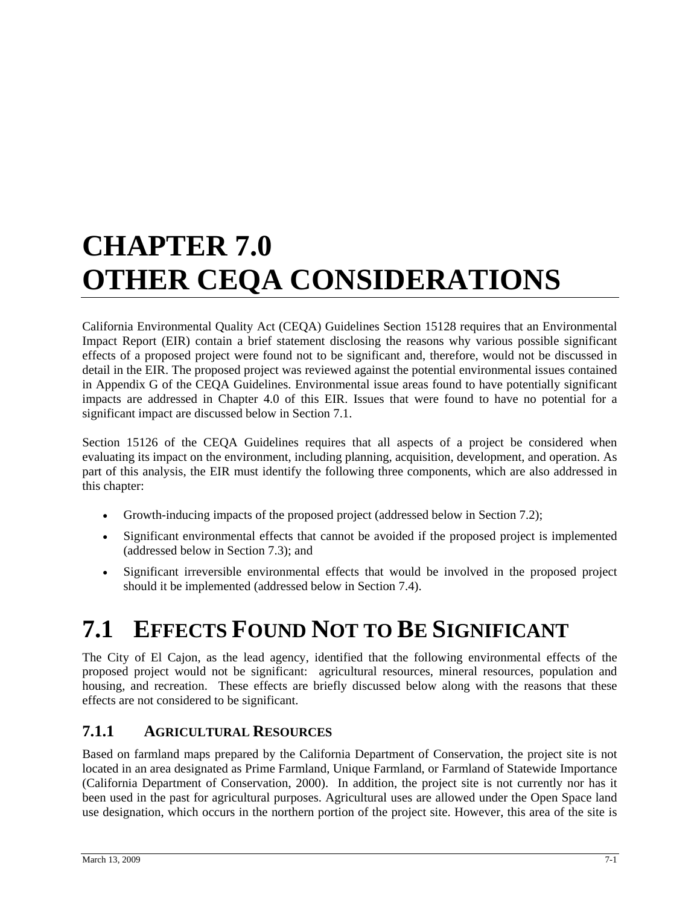# **CHAPTER 7.0 OTHER CEQA CONSIDERATIONS**

California Environmental Quality Act (CEQA) Guidelines Section 15128 requires that an Environmental Impact Report (EIR) contain a brief statement disclosing the reasons why various possible significant effects of a proposed project were found not to be significant and, therefore, would not be discussed in detail in the EIR. The proposed project was reviewed against the potential environmental issues contained in Appendix G of the CEQA Guidelines. Environmental issue areas found to have potentially significant impacts are addressed in Chapter 4.0 of this EIR. Issues that were found to have no potential for a significant impact are discussed below in Section 7.1.

Section 15126 of the CEQA Guidelines requires that all aspects of a project be considered when evaluating its impact on the environment, including planning, acquisition, development, and operation. As part of this analysis, the EIR must identify the following three components, which are also addressed in this chapter:

- Growth-inducing impacts of the proposed project (addressed below in Section 7.2);
- Significant environmental effects that cannot be avoided if the proposed project is implemented (addressed below in Section 7.3); and
- Significant irreversible environmental effects that would be involved in the proposed project should it be implemented (addressed below in Section 7.4).

# **7.1 EFFECTS FOUND NOT TO BE SIGNIFICANT**

The City of El Cajon, as the lead agency, identified that the following environmental effects of the proposed project would not be significant: agricultural resources, mineral resources, population and housing, and recreation. These effects are briefly discussed below along with the reasons that these effects are not considered to be significant.

#### **7.1.1 AGRICULTURAL RESOURCES**

Based on farmland maps prepared by the California Department of Conservation, the project site is not located in an area designated as Prime Farmland, Unique Farmland, or Farmland of Statewide Importance (California Department of Conservation, 2000). In addition, the project site is not currently nor has it been used in the past for agricultural purposes. Agricultural uses are allowed under the Open Space land use designation, which occurs in the northern portion of the project site. However, this area of the site is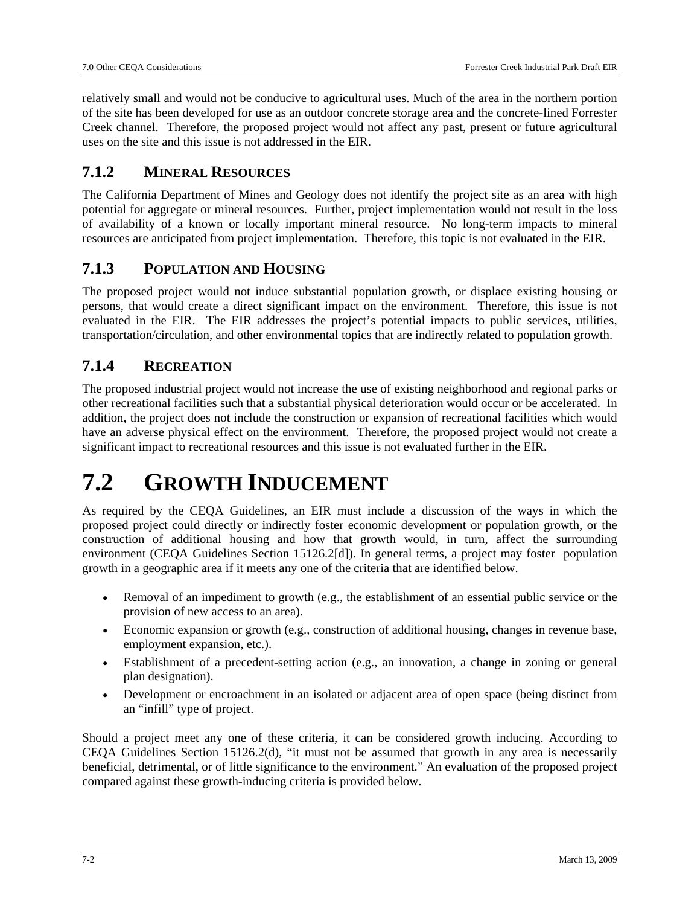relatively small and would not be conducive to agricultural uses. Much of the area in the northern portion of the site has been developed for use as an outdoor concrete storage area and the concrete-lined Forrester Creek channel. Therefore, the proposed project would not affect any past, present or future agricultural uses on the site and this issue is not addressed in the EIR.

#### **7.1.2 MINERAL RESOURCES**

The California Department of Mines and Geology does not identify the project site as an area with high potential for aggregate or mineral resources. Further, project implementation would not result in the loss of availability of a known or locally important mineral resource. No long-term impacts to mineral resources are anticipated from project implementation. Therefore, this topic is not evaluated in the EIR.

#### **7.1.3 POPULATION AND HOUSING**

The proposed project would not induce substantial population growth, or displace existing housing or persons, that would create a direct significant impact on the environment. Therefore, this issue is not evaluated in the EIR. The EIR addresses the project's potential impacts to public services, utilities, transportation/circulation, and other environmental topics that are indirectly related to population growth.

#### **7.1.4 RECREATION**

The proposed industrial project would not increase the use of existing neighborhood and regional parks or other recreational facilities such that a substantial physical deterioration would occur or be accelerated. In addition, the project does not include the construction or expansion of recreational facilities which would have an adverse physical effect on the environment. Therefore, the proposed project would not create a significant impact to recreational resources and this issue is not evaluated further in the EIR.

### **7.2 GROWTH INDUCEMENT**

As required by the CEQA Guidelines, an EIR must include a discussion of the ways in which the proposed project could directly or indirectly foster economic development or population growth, or the construction of additional housing and how that growth would, in turn, affect the surrounding environment (CEQA Guidelines Section 15126.2[d]). In general terms, a project may foster population growth in a geographic area if it meets any one of the criteria that are identified below.

- Removal of an impediment to growth (e.g., the establishment of an essential public service or the provision of new access to an area).
- Economic expansion or growth (e.g., construction of additional housing, changes in revenue base, employment expansion, etc.).
- Establishment of a precedent-setting action (e.g., an innovation, a change in zoning or general plan designation).
- Development or encroachment in an isolated or adjacent area of open space (being distinct from an "infill" type of project.

Should a project meet any one of these criteria, it can be considered growth inducing. According to CEQA Guidelines Section  $15126.2(d)$ , "it must not be assumed that growth in any area is necessarily beneficial, detrimental, or of little significance to the environment." An evaluation of the proposed project compared against these growth-inducing criteria is provided below.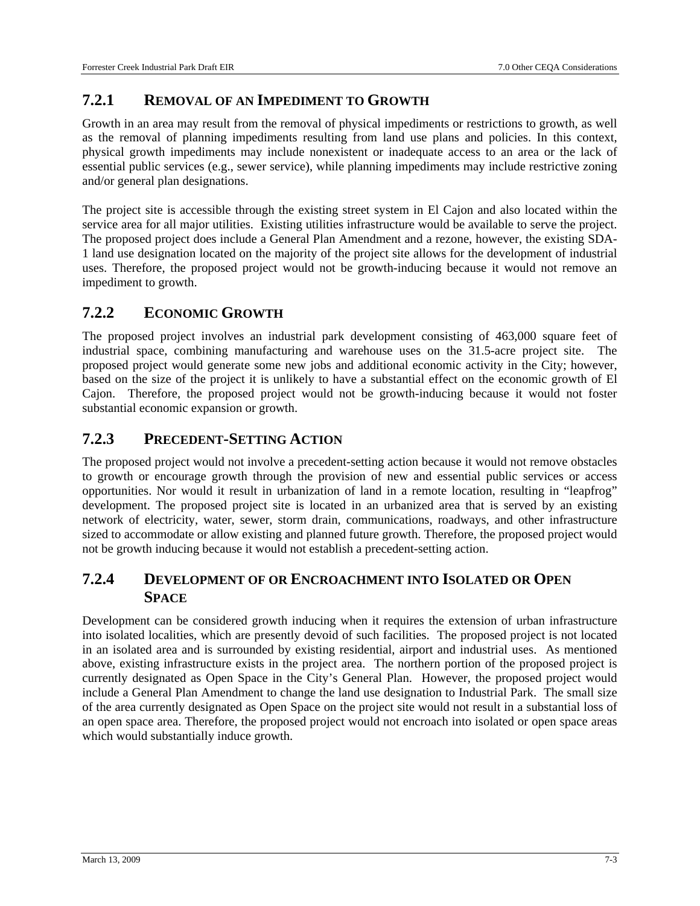#### **7.2.1 REMOVAL OF AN IMPEDIMENT TO GROWTH**

Growth in an area may result from the removal of physical impediments or restrictions to growth, as well as the removal of planning impediments resulting from land use plans and policies. In this context, physical growth impediments may include nonexistent or inadequate access to an area or the lack of essential public services (e.g., sewer service), while planning impediments may include restrictive zoning and/or general plan designations.

The project site is accessible through the existing street system in El Cajon and also located within the service area for all major utilities. Existing utilities infrastructure would be available to serve the project. The proposed project does include a General Plan Amendment and a rezone, however, the existing SDA-1 land use designation located on the majority of the project site allows for the development of industrial uses. Therefore, the proposed project would not be growth-inducing because it would not remove an impediment to growth.

#### **7.2.2 ECONOMIC GROWTH**

The proposed project involves an industrial park development consisting of 463,000 square feet of industrial space, combining manufacturing and warehouse uses on the 31.5-acre project site. The proposed project would generate some new jobs and additional economic activity in the City; however, based on the size of the project it is unlikely to have a substantial effect on the economic growth of El Cajon. Therefore, the proposed project would not be growth-inducing because it would not foster substantial economic expansion or growth.

#### **7.2.3 PRECEDENT-SETTING ACTION**

The proposed project would not involve a precedent-setting action because it would not remove obstacles to growth or encourage growth through the provision of new and essential public services or access opportunities. Nor would it result in urbanization of land in a remote location, resulting in "leapfrog" development. The proposed project site is located in an urbanized area that is served by an existing network of electricity, water, sewer, storm drain, communications, roadways, and other infrastructure sized to accommodate or allow existing and planned future growth. Therefore, the proposed project would not be growth inducing because it would not establish a precedent-setting action.

#### **7.2.4 DEVELOPMENT OF OR ENCROACHMENT INTO ISOLATED OR OPEN SPACE**

Development can be considered growth inducing when it requires the extension of urban infrastructure into isolated localities, which are presently devoid of such facilities. The proposed project is not located in an isolated area and is surrounded by existing residential, airport and industrial uses. As mentioned above, existing infrastructure exists in the project area. The northern portion of the proposed project is currently designated as Open Space in the City's General Plan. However, the proposed project would include a General Plan Amendment to change the land use designation to Industrial Park. The small size of the area currently designated as Open Space on the project site would not result in a substantial loss of an open space area. Therefore, the proposed project would not encroach into isolated or open space areas which would substantially induce growth.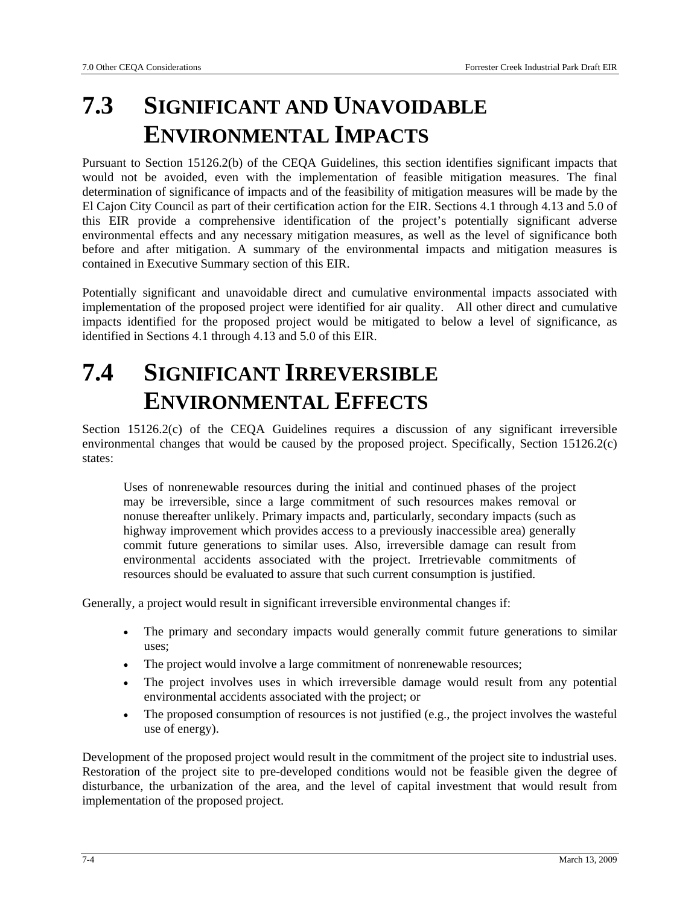## **7.3 SIGNIFICANT AND UNAVOIDABLE ENVIRONMENTAL IMPACTS**

Pursuant to Section 15126.2(b) of the CEQA Guidelines, this section identifies significant impacts that would not be avoided, even with the implementation of feasible mitigation measures. The final determination of significance of impacts and of the feasibility of mitigation measures will be made by the El Cajon City Council as part of their certification action for the EIR. Sections 4.1 through 4.13 and 5.0 of this EIR provide a comprehensive identification of the project's potentially significant adverse environmental effects and any necessary mitigation measures, as well as the level of significance both before and after mitigation. A summary of the environmental impacts and mitigation measures is contained in Executive Summary section of this EIR.

Potentially significant and unavoidable direct and cumulative environmental impacts associated with implementation of the proposed project were identified for air quality. All other direct and cumulative impacts identified for the proposed project would be mitigated to below a level of significance, as identified in Sections 4.1 through 4.13 and 5.0 of this EIR.

### **7.4 SIGNIFICANT IRREVERSIBLE ENVIRONMENTAL EFFECTS**

Section 15126.2(c) of the CEQA Guidelines requires a discussion of any significant irreversible environmental changes that would be caused by the proposed project. Specifically, Section 15126.2(c) states:

Uses of nonrenewable resources during the initial and continued phases of the project may be irreversible, since a large commitment of such resources makes removal or nonuse thereafter unlikely. Primary impacts and, particularly, secondary impacts (such as highway improvement which provides access to a previously inaccessible area) generally commit future generations to similar uses. Also, irreversible damage can result from environmental accidents associated with the project. Irretrievable commitments of resources should be evaluated to assure that such current consumption is justified.

Generally, a project would result in significant irreversible environmental changes if:

- The primary and secondary impacts would generally commit future generations to similar uses;
- The project would involve a large commitment of nonrenewable resources;
- The project involves uses in which irreversible damage would result from any potential environmental accidents associated with the project; or
- The proposed consumption of resources is not justified (e.g., the project involves the wasteful use of energy).

Development of the proposed project would result in the commitment of the project site to industrial uses. Restoration of the project site to pre-developed conditions would not be feasible given the degree of disturbance, the urbanization of the area, and the level of capital investment that would result from implementation of the proposed project.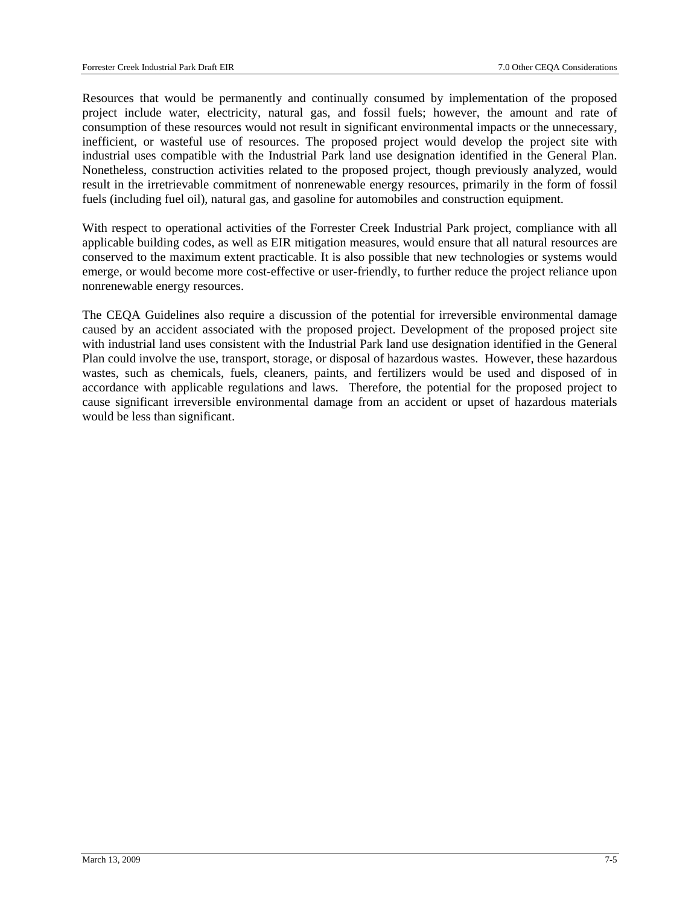Resources that would be permanently and continually consumed by implementation of the proposed project include water, electricity, natural gas, and fossil fuels; however, the amount and rate of consumption of these resources would not result in significant environmental impacts or the unnecessary, inefficient, or wasteful use of resources. The proposed project would develop the project site with industrial uses compatible with the Industrial Park land use designation identified in the General Plan. Nonetheless, construction activities related to the proposed project, though previously analyzed, would result in the irretrievable commitment of nonrenewable energy resources, primarily in the form of fossil fuels (including fuel oil), natural gas, and gasoline for automobiles and construction equipment.

With respect to operational activities of the Forrester Creek Industrial Park project, compliance with all applicable building codes, as well as EIR mitigation measures, would ensure that all natural resources are conserved to the maximum extent practicable. It is also possible that new technologies or systems would emerge, or would become more cost-effective or user-friendly, to further reduce the project reliance upon nonrenewable energy resources.

The CEQA Guidelines also require a discussion of the potential for irreversible environmental damage caused by an accident associated with the proposed project. Development of the proposed project site with industrial land uses consistent with the Industrial Park land use designation identified in the General Plan could involve the use, transport, storage, or disposal of hazardous wastes. However, these hazardous wastes, such as chemicals, fuels, cleaners, paints, and fertilizers would be used and disposed of in accordance with applicable regulations and laws. Therefore, the potential for the proposed project to cause significant irreversible environmental damage from an accident or upset of hazardous materials would be less than significant.